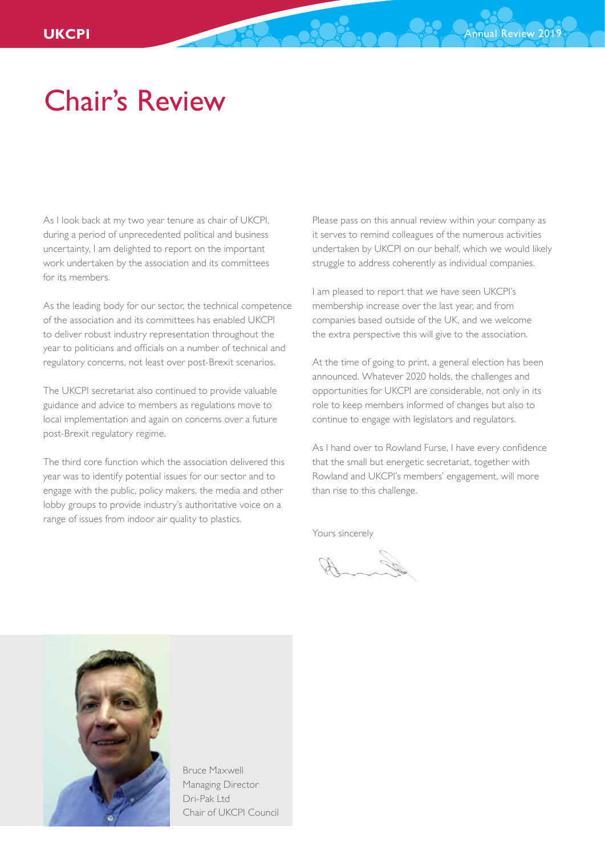## Chair's Review

As I look back at my two year tenure as chair of UKCPI, during a period of unprecedented political and business uncertainty, I am delighted to report on the important work undertaken by the association and its committees for its members.

As the leading body for our sector, the technical competence of the association and its committees has enabled UKCPI to deliver robust industry representation throughout the year to politicians and officials on a number of technical and regulatory concerns, not least over post-Brexit scenarios.

The UKCPI secretariat also continued to provide valuable guidance and advice to members as regulations move to local implementation and again on concerns over a future post-Brexit regulatory regime.

The third core function which the association delivered this year was to identify potential issues for our sector and to engage with the public, policy makers, the media and other lobby groups to provide industry's authoritative voice on a range of issues from indoor air quality to plastics.

Please pass on this annual review within your company as it serves to remind colleagues of the numerous activities undertaken by UKCPI on our behalf, which we would likely struggle to address coherently as individual companies.

I am pleased to report that we have seen UKCPI's membership increase over the last year, and from companies based outside of the UK, and we welcome the extra perspective this will give to the association.

At the time of going to print, a general election has been announced. Whatever 2020 holds, the challenges and opportunities for UKCPI are considerable, not only in its role to keep members informed of changes but also to continue to engage with legislators and regulators.

As I hand over to Rowland Furse, I have every confidence that the small but energetic secretariat, together with Rowland and UKCPI's members' engagement, will more than rise to this challenge.

Yours sincerely



Bruce Maxwell Managing Director Dri-Pak Ltd Chair of UKCPI Council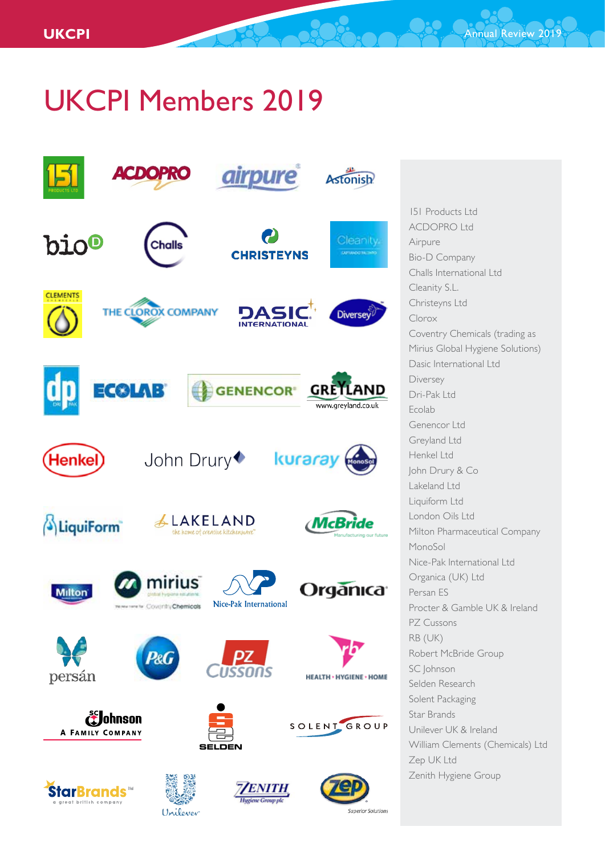# UKCPI Members 2019



151 Products Ltd ACDOPRO Ltd Airpure Bio-D Company Challs International Ltd Cleanity S.L. Christeyns Ltd Clorox Coventry Chemicals (trading as Mirius Global Hygiene Solutions) Dasic International Ltd Diversey Dri-Pak Ltd Ecolab Genencor Ltd Greyland Ltd Henkel Ltd John Drury & Co Lakeland Ltd Liquiform Ltd London Oils Ltd Milton Pharmaceutical Company MonoSol Nice-Pak International Ltd Organica (UK) Ltd Persan ES Procter & Gamble UK & Ireland PZ Cussons RB (UK) Robert McBride Group SC Johnson Selden Research Solent Packaging Star Brands Unilever UK & Ireland William Clements (Chemicals) Ltd Zep UK Ltd Zenith Hygiene Group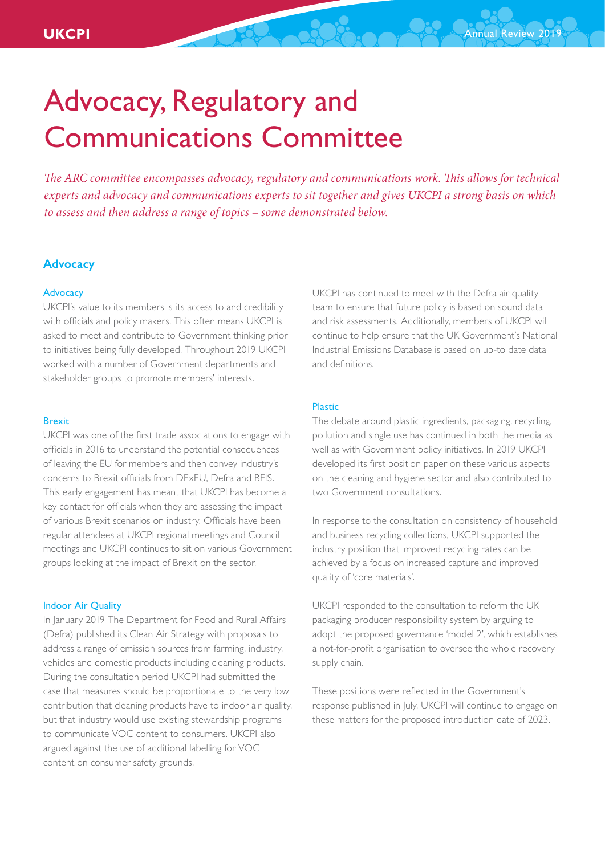*The ARC committee encompasses advocacy, regulatory and communications work. This allows for technical experts and advocacy and communications experts to sit together and gives UKCPI a strong basis on which to assess and then address a range of topics – some demonstrated below.*

## **Advocacy**

## Advocacy

UKCPI's value to its members is its access to and credibility with officials and policy makers. This often means UKCPI is asked to meet and contribute to Government thinking prior to initiatives being fully developed. Throughout 2019 UKCPI worked with a number of Government departments and stakeholder groups to promote members' interests.

### Brexit

UKCPI was one of the first trade associations to engage with officials in 2016 to understand the potential consequences of leaving the EU for members and then convey industry's concerns to Brexit officials from DExEU, Defra and BEIS. This early engagement has meant that UKCPI has become a key contact for officials when they are assessing the impact of various Brexit scenarios on industry. Officials have been regular attendees at UKCPI regional meetings and Council meetings and UKCPI continues to sit on various Government groups looking at the impact of Brexit on the sector.

## Indoor Air Quality

In January 2019 The Department for Food and Rural Affairs (Defra) published its Clean Air Strategy with proposals to address a range of emission sources from farming, industry, vehicles and domestic products including cleaning products. During the consultation period UKCPI had submitted the case that measures should be proportionate to the very low contribution that cleaning products have to indoor air quality, but that industry would use existing stewardship programs to communicate VOC content to consumers. UKCPI also argued against the use of additional labelling for VOC content on consumer safety grounds.

UKCPI has continued to meet with the Defra air quality team to ensure that future policy is based on sound data and risk assessments. Additionally, members of UKCPI will continue to help ensure that the UK Government's National Industrial Emissions Database is based on up-to date data and definitions.

#### Plastic

The debate around plastic ingredients, packaging, recycling, pollution and single use has continued in both the media as well as with Government policy initiatives. In 2019 UKCPI developed its first position paper on these various aspects on the cleaning and hygiene sector and also contributed to two Government consultations.

In response to the consultation on consistency of household and business recycling collections, UKCPI supported the industry position that improved recycling rates can be achieved by a focus on increased capture and improved quality of 'core materials'.

UKCPI responded to the consultation to reform the UK packaging producer responsibility system by arguing to adopt the proposed governance 'model 2', which establishes a not-for-profit organisation to oversee the whole recovery supply chain.

These positions were reflected in the Government's response published in July. UKCPI will continue to engage on these matters for the proposed introduction date of 2023.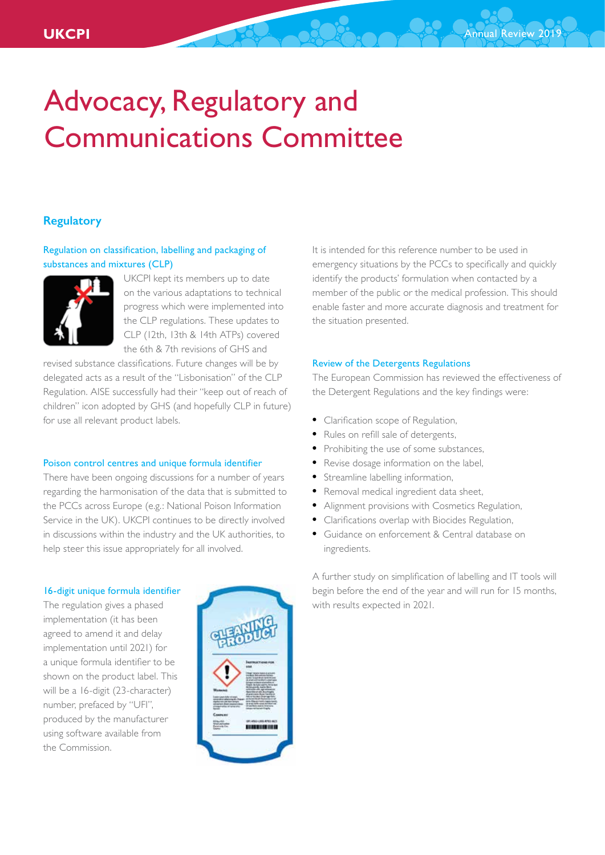## **Regulatory**

## Regulation on classification, labelling and packaging of substances and mixtures (CLP)



UKCPI kept its members up to date on the various adaptations to technical progress which were implemented into the CLP regulations. These updates to CLP (12th, 13th & 14th ATPs) covered the 6th & 7th revisions of GHS and

revised substance classifications. Future changes will be by delegated acts as a result of the "Lisbonisation" of the CLP Regulation. AISE successfully had their "keep out of reach of children" icon adopted by GHS (and hopefully CLP in future) for use all relevant product labels.

## Poison control centres and unique formula identifier

There have been ongoing discussions for a number of years regarding the harmonisation of the data that is submitted to the PCCs across Europe (e.g.: National Poison Information Service in the UK). UKCPI continues to be directly involved in discussions within the industry and the UK authorities, to help steer this issue appropriately for all involved.

#### 16-digit unique formula identifier

The regulation gives a phased implementation (it has been agreed to amend it and delay implementation until 2021) for a unique formula identifier to be shown on the product label. This will be a 16-digit (23-character) number, prefaced by "UFI", produced by the manufacturer using software available from the Commission.



It is intended for this reference number to be used in emergency situations by the PCCs to specifically and quickly identify the products' formulation when contacted by a member of the public or the medical profession. This should enable faster and more accurate diagnosis and treatment for the situation presented.

## Review of the Detergents Regulations

The European Commission has reviewed the effectiveness of the Detergent Regulations and the key findings were:

- Clarification scope of Regulation,
- Rules on refill sale of detergents,
- Prohibiting the use of some substances,
- Revise dosage information on the label,
- Streamline labelling information,
- Removal medical ingredient data sheet,
- Alignment provisions with Cosmetics Regulation,
- Clarifications overlap with Biocides Regulation,
- Guidance on enforcement & Central database on ingredients.

A further study on simplification of labelling and IT tools will begin before the end of the year and will run for 15 months, with results expected in 2021.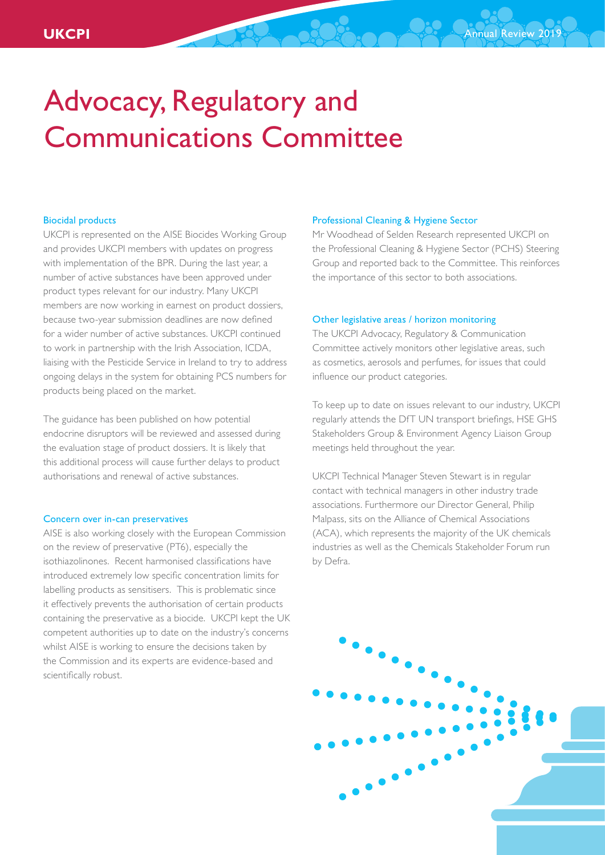## Biocidal products

UKCPI is represented on the AISE Biocides Working Group and provides UKCPI members with updates on progress with implementation of the BPR. During the last year, a number of active substances have been approved under product types relevant for our industry. Many UKCPI members are now working in earnest on product dossiers, because two-year submission deadlines are now defined for a wider number of active substances. UKCPI continued to work in partnership with the Irish Association, ICDA, liaising with the Pesticide Service in Ireland to try to address ongoing delays in the system for obtaining PCS numbers for products being placed on the market.

The guidance has been published on how potential endocrine disruptors will be reviewed and assessed during the evaluation stage of product dossiers. It is likely that this additional process will cause further delays to product authorisations and renewal of active substances.

### Concern over in-can preservatives

AISE is also working closely with the European Commission on the review of preservative (PT6), especially the isothiazolinones. Recent harmonised classifications have introduced extremely low specific concentration limits for labelling products as sensitisers. This is problematic since it effectively prevents the authorisation of certain products containing the preservative as a biocide. UKCPI kept the UK competent authorities up to date on the industry's concerns whilst AISE is working to ensure the decisions taken by the Commission and its experts are evidence-based and scientifically robust.

#### Professional Cleaning & Hygiene Sector

Mr Woodhead of Selden Research represented UKCPI on the Professional Cleaning & Hygiene Sector (PCHS) Steering Group and reported back to the Committee. This reinforces the importance of this sector to both associations.

## Other legislative areas / horizon monitoring

The UKCPI Advocacy, Regulatory & Communication Committee actively monitors other legislative areas, such as cosmetics, aerosols and perfumes, for issues that could influence our product categories.

To keep up to date on issues relevant to our industry, UKCPI regularly attends the DfT UN transport briefings, HSE GHS Stakeholders Group & Environment Agency Liaison Group meetings held throughout the year.

UKCPI Technical Manager Steven Stewart is in regular contact with technical managers in other industry trade associations. Furthermore our Director General, Philip Malpass, sits on the Alliance of Chemical Associations (ACA), which represents the majority of the UK chemicals industries as well as the Chemicals Stakeholder Forum run by Defra.

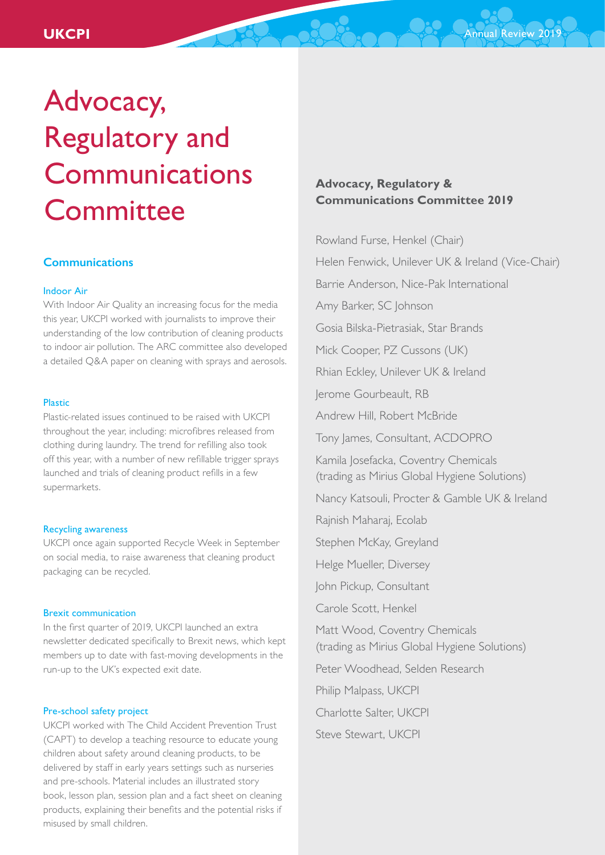## **Communications**

## Indoor Air

With Indoor Air Quality an increasing focus for the media this year, UKCPI worked with journalists to improve their understanding of the low contribution of cleaning products to indoor air pollution. The ARC committee also developed a detailed Q&A paper on cleaning with sprays and aerosols.

#### Plastic

Plastic-related issues continued to be raised with UKCPI throughout the year, including: microfibres released from clothing during laundry. The trend for refilling also took off this year, with a number of new refillable trigger sprays launched and trials of cleaning product refills in a few supermarkets.

#### Recycling awareness

UKCPI once again supported Recycle Week in September on social media, to raise awareness that cleaning product packaging can be recycled.

#### Brexit communication

In the first quarter of 2019, UKCPI launched an extra newsletter dedicated specifically to Brexit news, which kept members up to date with fast-moving developments in the run-up to the UK's expected exit date.

#### Pre-school safety project

UKCPI worked with The Child Accident Prevention Trust (CAPT) to develop a teaching resource to educate young children about safety around cleaning products, to be delivered by staff in early years settings such as nurseries and pre-schools. Material includes an illustrated story book, lesson plan, session plan and a fact sheet on cleaning products, explaining their benefits and the potential risks if misused by small children.

## **Advocacy, Regulatory & Communications Committee 2019**

Rowland Furse, Henkel (Chair) Helen Fenwick, Unilever UK & Ireland (Vice-Chair) Barrie Anderson, Nice-Pak International Amy Barker, SC Johnson Gosia Bilska-Pietrasiak, Star Brands Mick Cooper, PZ Cussons (UK) Rhian Eckley, Unilever UK & Ireland Jerome Gourbeault, RB Andrew Hill, Robert McBride Tony James, Consultant, ACDOPRO Kamila Josefacka, Coventry Chemicals (trading as Mirius Global Hygiene Solutions) Nancy Katsouli, Procter & Gamble UK & Ireland Rajnish Maharaj, Ecolab Stephen McKay, Greyland Helge Mueller, Diversey John Pickup, Consultant Carole Scott, Henkel Matt Wood, Coventry Chemicals (trading as Mirius Global Hygiene Solutions) Peter Woodhead, Selden Research Philip Malpass, UKCPI Charlotte Salter, UKCPI Steve Stewart, UKCPI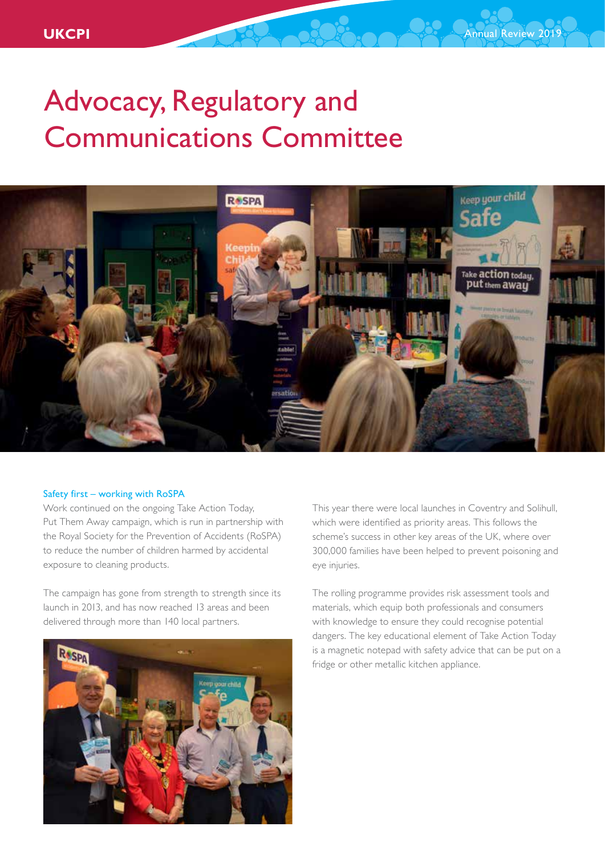

## Safety first – working with RoSPA

Work continued on the ongoing Take Action Today, Put Them Away campaign, which is run in partnership with the Royal Society for the Prevention of Accidents (RoSPA) to reduce the number of children harmed by accidental exposure to cleaning products.

The campaign has gone from strength to strength since its launch in 2013, and has now reached 13 areas and been delivered through more than 140 local partners.



This year there were local launches in Coventry and Solihull, which were identified as priority areas. This follows the scheme's success in other key areas of the UK, where over 300,000 families have been helped to prevent poisoning and eye injuries.

The rolling programme provides risk assessment tools and materials, which equip both professionals and consumers with knowledge to ensure they could recognise potential dangers. The key educational element of Take Action Today is a magnetic notepad with safety advice that can be put on a fridge or other metallic kitchen appliance.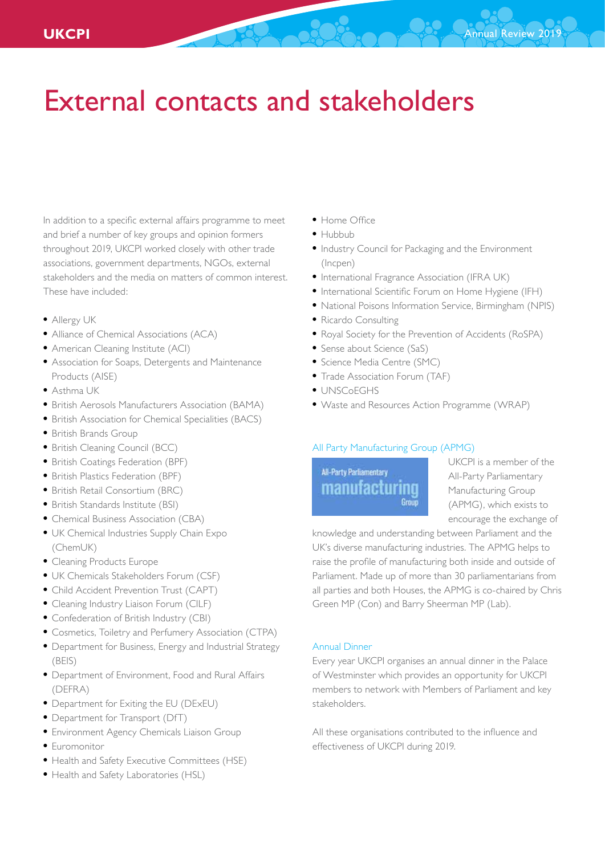## External contacts and stakeholders

In addition to a specific external affairs programme to meet and brief a number of key groups and opinion formers throughout 2019, UKCPI worked closely with other trade associations, government departments, NGOs, external stakeholders and the media on matters of common interest. These have included:

- Allergy UK
- Alliance of Chemical Associations (ACA)
- American Cleaning Institute (ACI)
- Association for Soaps, Detergents and Maintenance Products (AISE)
- Asthma UK
- British Aerosols Manufacturers Association (BAMA)
- British Association for Chemical Specialities (BACS)
- British Brands Group
- British Cleaning Council (BCC)
- British Coatings Federation (BPF)
- British Plastics Federation (BPF)
- British Retail Consortium (BRC)
- British Standards Institute (BSI)
- Chemical Business Association (CBA)
- UK Chemical Industries Supply Chain Expo (ChemUK)
- Cleaning Products Europe
- UK Chemicals Stakeholders Forum (CSF)
- Child Accident Prevention Trust (CAPT)
- Cleaning Industry Liaison Forum (CILF)
- Confederation of British Industry (CBI)
- Cosmetics, Toiletry and Perfumery Association (CTPA)
- Department for Business, Energy and Industrial Strategy (BEIS)
- Department of Environment, Food and Rural Affairs (DEFRA)
- Department for Exiting the EU (DExEU)
- Department for Transport (DfT)
- Environment Agency Chemicals Liaison Group
- Euromonitor
- Health and Safety Executive Committees (HSE)
- Health and Safety Laboratories (HSL)
- Home Office
- Hubbub
- Industry Council for Packaging and the Environment (Incpen)
- International Fragrance Association (IFRA UK)
- International Scientific Forum on Home Hygiene (IFH)
- National Poisons Information Service, Birmingham (NPIS)
- Ricardo Consulting
- Royal Society for the Prevention of Accidents (RoSPA)
- Sense about Science (SaS)
- Science Media Centre (SMC)
- Trade Association Forum (TAF)
- UNSCoEGHS
- Waste and Resources Action Programme (WRAP)

## All Party Manufacturing Group (APMG)

## All-Party Parliamentary manufacturing Group

UKCPI is a member of the All-Party Parliamentary Manufacturing Group (APMG), which exists to encourage the exchange of

knowledge and understanding between Parliament and the UK's diverse manufacturing industries. The APMG helps to raise the profile of manufacturing both inside and outside of Parliament. Made up of more than 30 parliamentarians from all parties and both Houses, the APMG is co-chaired by Chris Green MP (Con) and Barry Sheerman MP (Lab).

## Annual Dinner

Every year UKCPI organises an annual dinner in the Palace of Westminster which provides an opportunity for UKCPI members to network with Members of Parliament and key stakeholders.

All these organisations contributed to the influence and effectiveness of UKCPI during 2019.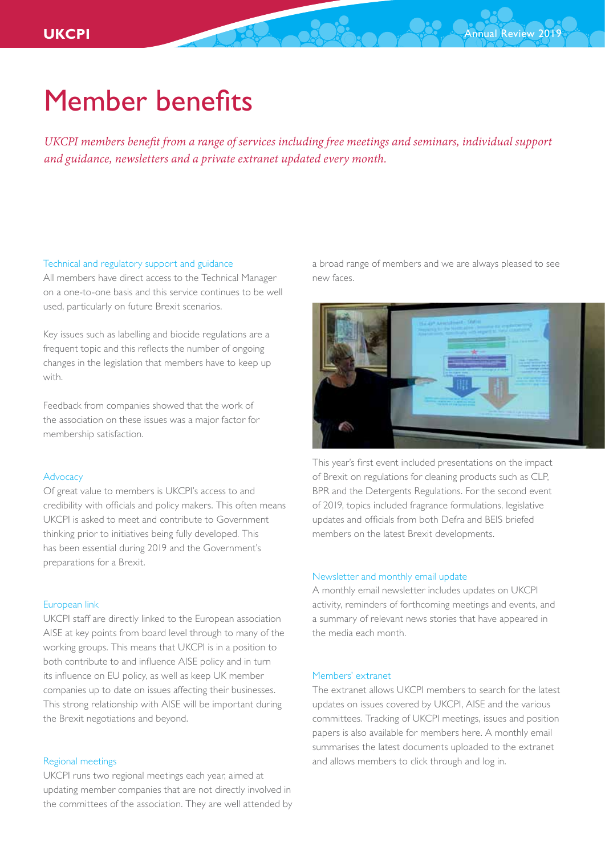## Member benefits

*UKCPI members benefit from a range of services including free meetings and seminars, individual support and guidance, newsletters and a private extranet updated every month.*

### Technical and regulatory support and guidance

All members have direct access to the Technical Manager on a one-to-one basis and this service continues to be well used, particularly on future Brexit scenarios.

Key issues such as labelling and biocide regulations are a frequent topic and this reflects the number of ongoing changes in the legislation that members have to keep up with.

Feedback from companies showed that the work of the association on these issues was a major factor for membership satisfaction.

## Advocacy

Of great value to members is UKCPI's access to and credibility with officials and policy makers. This often means UKCPI is asked to meet and contribute to Government thinking prior to initiatives being fully developed. This has been essential during 2019 and the Government's preparations for a Brexit.

## European link

UKCPI staff are directly linked to the European association AISE at key points from board level through to many of the working groups. This means that UKCPI is in a position to both contribute to and influence AISE policy and in turn its influence on EU policy, as well as keep UK member companies up to date on issues affecting their businesses. This strong relationship with AISE will be important during the Brexit negotiations and beyond.

## Regional meetings

UKCPI runs two regional meetings each year, aimed at updating member companies that are not directly involved in the committees of the association. They are well attended by a broad range of members and we are always pleased to see new faces.



This year's first event included presentations on the impact of Brexit on regulations for cleaning products such as CLP, BPR and the Detergents Regulations. For the second event of 2019, topics included fragrance formulations, legislative updates and officials from both Defra and BEIS briefed members on the latest Brexit developments.

## Newsletter and monthly email update

A monthly email newsletter includes updates on UKCPI activity, reminders of forthcoming meetings and events, and a summary of relevant news stories that have appeared in the media each month.

## Members' extranet

The extranet allows UKCPI members to search for the latest updates on issues covered by UKCPI, AISE and the various committees. Tracking of UKCPI meetings, issues and position papers is also available for members here. A monthly email summarises the latest documents uploaded to the extranet and allows members to click through and log in.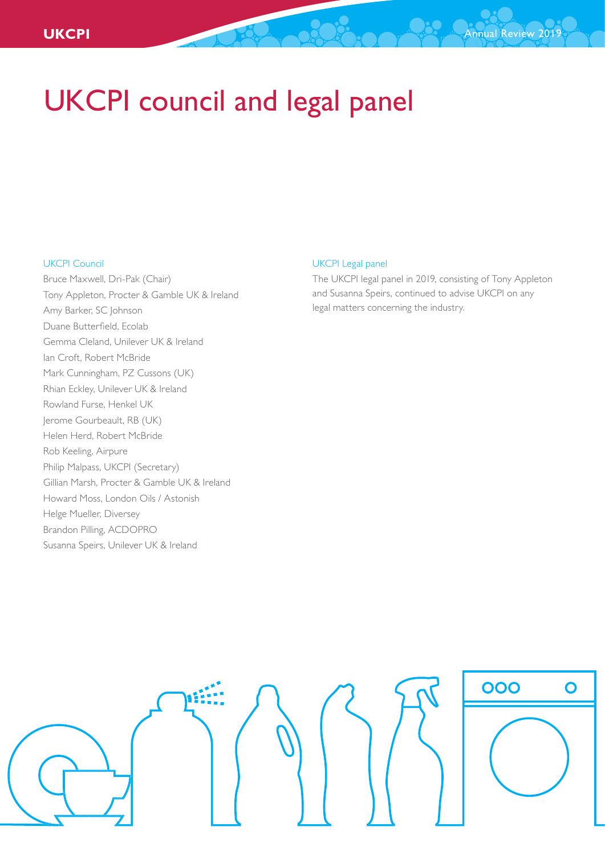## UKCPI council and legal panel

## UKCPI Council

Bruce Maxwell, Dri-Pak (Chair) Tony Appleton, Procter & Gamble UK & Ireland Amy Barker, SC Johnson Duane Butterfield, Ecolab Gemma Cleland, Unilever UK & Ireland Ian Croft, Robert McBride Mark Cunningham, PZ Cussons (UK) Rhian Eckley, Unilever UK & Ireland Rowland Furse, Henkel UK Jerome Gourbeault, RB (UK) Helen Herd, Robert McBride Rob Keeling, Airpure Philip Malpass, UKCPI (Secretary) Gillian Marsh, Procter & Gamble UK & Ireland Howard Moss, London Oils / Astonish Helge Mueller, Diversey Brandon Pilling, ACDOPRO Susanna Speirs, Unilever UK & Ireland

## UKCPI Legal panel

The UKCPI legal panel in 2019, consisting of Tony Appleton and Susanna Speirs, continued to advise UKCPI on any legal matters concerning the industry.